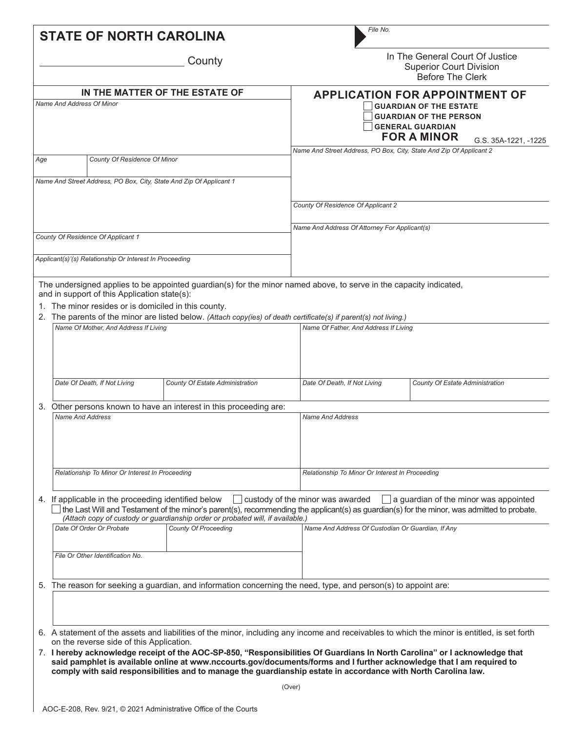|     |                                                 | <b>STATE OF NORTH CAROLINA</b>                                                                    |                                                                                | File No.                                                                                                                                                                                                                                                                                                                                                              |                                                                                                                                                                                             |  |  |  |  |
|-----|-------------------------------------------------|---------------------------------------------------------------------------------------------------|--------------------------------------------------------------------------------|-----------------------------------------------------------------------------------------------------------------------------------------------------------------------------------------------------------------------------------------------------------------------------------------------------------------------------------------------------------------------|---------------------------------------------------------------------------------------------------------------------------------------------------------------------------------------------|--|--|--|--|
|     |                                                 |                                                                                                   | County                                                                         |                                                                                                                                                                                                                                                                                                                                                                       | In The General Court Of Justice<br><b>Superior Court Division</b><br>Before The Clerk                                                                                                       |  |  |  |  |
|     | Name And Address Of Minor                       |                                                                                                   | IN THE MATTER OF THE ESTATE OF                                                 |                                                                                                                                                                                                                                                                                                                                                                       | <b>APPLICATION FOR APPOINTMENT OF</b><br><b>GUARDIAN OF THE ESTATE</b><br><b>GUARDIAN OF THE PERSON</b><br><b>GENERAL GUARDIAN</b><br><b>FOR A MINOR</b><br>G.S. 35A-1221, -1225            |  |  |  |  |
| Age |                                                 | County Of Residence Of Minor                                                                      |                                                                                | Name And Street Address, PO Box, City, State And Zip Of Applicant 2                                                                                                                                                                                                                                                                                                   |                                                                                                                                                                                             |  |  |  |  |
|     |                                                 |                                                                                                   |                                                                                |                                                                                                                                                                                                                                                                                                                                                                       |                                                                                                                                                                                             |  |  |  |  |
|     |                                                 |                                                                                                   | Name And Street Address, PO Box, City, State And Zip Of Applicant 1            |                                                                                                                                                                                                                                                                                                                                                                       |                                                                                                                                                                                             |  |  |  |  |
|     |                                                 |                                                                                                   |                                                                                | County Of Residence Of Applicant 2                                                                                                                                                                                                                                                                                                                                    |                                                                                                                                                                                             |  |  |  |  |
|     |                                                 |                                                                                                   |                                                                                | Name And Address Of Attorney For Applicant(s)                                                                                                                                                                                                                                                                                                                         |                                                                                                                                                                                             |  |  |  |  |
|     |                                                 | County Of Residence Of Applicant 1                                                                |                                                                                |                                                                                                                                                                                                                                                                                                                                                                       |                                                                                                                                                                                             |  |  |  |  |
|     |                                                 | Applicant(s)'(s) Relationship Or Interest In Proceeding                                           |                                                                                |                                                                                                                                                                                                                                                                                                                                                                       |                                                                                                                                                                                             |  |  |  |  |
|     |                                                 |                                                                                                   |                                                                                |                                                                                                                                                                                                                                                                                                                                                                       |                                                                                                                                                                                             |  |  |  |  |
|     |                                                 | and in support of this Application state(s):<br>The minor resides or is domiciled in this county. |                                                                                | The undersigned applies to be appointed guardian(s) for the minor named above, to serve in the capacity indicated,                                                                                                                                                                                                                                                    |                                                                                                                                                                                             |  |  |  |  |
|     |                                                 | Name Of Mother, And Address If Living                                                             |                                                                                | 2. The parents of the minor are listed below. (Attach copy(ies) of death certificate(s) if parent(s) not living.)<br>Name Of Father, And Address If Living                                                                                                                                                                                                            |                                                                                                                                                                                             |  |  |  |  |
|     |                                                 |                                                                                                   |                                                                                |                                                                                                                                                                                                                                                                                                                                                                       |                                                                                                                                                                                             |  |  |  |  |
|     |                                                 | Date Of Death, If Not Living                                                                      | County Of Estate Administration                                                | Date Of Death, If Not Living                                                                                                                                                                                                                                                                                                                                          | County Of Estate Administration                                                                                                                                                             |  |  |  |  |
| 3.  |                                                 |                                                                                                   | Other persons known to have an interest in this proceeding are:                |                                                                                                                                                                                                                                                                                                                                                                       |                                                                                                                                                                                             |  |  |  |  |
|     | <b>Name And Address</b>                         |                                                                                                   |                                                                                | <b>Name And Address</b>                                                                                                                                                                                                                                                                                                                                               |                                                                                                                                                                                             |  |  |  |  |
|     | Relationship To Minor Or Interest In Proceeding |                                                                                                   |                                                                                | Relationship To Minor Or Interest In Proceeding                                                                                                                                                                                                                                                                                                                       |                                                                                                                                                                                             |  |  |  |  |
|     |                                                 | 4. If applicable in the proceeding identified below                                               | (Attach copy of custody or guardianship order or probated will, if available.) | custody of the minor was awarded                                                                                                                                                                                                                                                                                                                                      | $\vert$ a guardian of the minor was appointed<br>the Last Will and Testament of the minor's parent(s), recommending the applicant(s) as guardian(s) for the minor, was admitted to probate. |  |  |  |  |
|     |                                                 | Date Of Order Or Probate                                                                          | <b>County Of Proceeding</b>                                                    | Name And Address Of Custodian Or Guardian, If Any                                                                                                                                                                                                                                                                                                                     |                                                                                                                                                                                             |  |  |  |  |
|     |                                                 | File Or Other Identification No.                                                                  |                                                                                |                                                                                                                                                                                                                                                                                                                                                                       |                                                                                                                                                                                             |  |  |  |  |
|     |                                                 |                                                                                                   |                                                                                | 5. The reason for seeking a guardian, and information concerning the need, type, and person(s) to appoint are:                                                                                                                                                                                                                                                        |                                                                                                                                                                                             |  |  |  |  |
|     |                                                 |                                                                                                   |                                                                                |                                                                                                                                                                                                                                                                                                                                                                       |                                                                                                                                                                                             |  |  |  |  |
|     |                                                 | on the reverse side of this Application.                                                          |                                                                                |                                                                                                                                                                                                                                                                                                                                                                       | 6. A statement of the assets and liabilities of the minor, including any income and receivables to which the minor is entitled, is set forth                                                |  |  |  |  |
|     |                                                 |                                                                                                   |                                                                                | 7. I hereby acknowledge receipt of the AOC-SP-850, "Responsibilities Of Guardians In North Carolina" or I acknowledge that<br>said pamphlet is available online at www.nccourts.gov/documents/forms and I further acknowledge that I am required to<br>comply with said responsibilities and to manage the guardianship estate in accordance with North Carolina law. |                                                                                                                                                                                             |  |  |  |  |